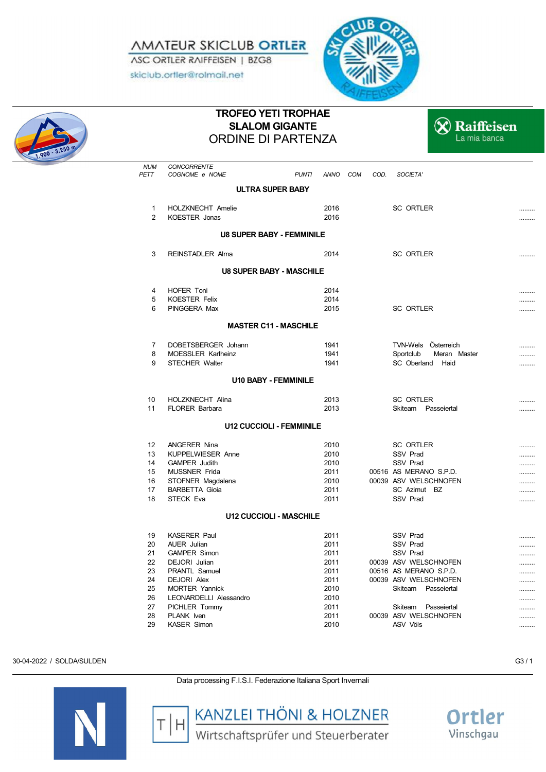*AMATEUR SKICLUB ORTLER* ASC ORTLER RAIFFEISEN | BZG8

skiclub.ortler@rolmail.net





## **TROFEO YETI TROPHAE SLALOM GIGANTE** ORDINE DI PARTENZA



| <b>NUM</b>     | CONCORRENTE                      |                                  |      |                                              |   |
|----------------|----------------------------------|----------------------------------|------|----------------------------------------------|---|
| PETT           | COGNOME e NOME                   | <b>PUNTI</b><br>ANNO COM         | COD. | SOCIETA'                                     |   |
|                |                                  | <b>ULTRA SUPER BABY</b>          |      |                                              |   |
| 1              | HOLZKNECHT Amelie                | 2016                             |      | <b>SC ORTLER</b>                             |   |
| $\overline{2}$ | KOESTER Jonas                    | 2016                             |      |                                              |   |
|                |                                  | <b>U8 SUPER BABY - FEMMINILE</b> |      |                                              |   |
| 3              | <b>REINSTADLER Alma</b>          | 2014                             |      | <b>SC ORTLER</b>                             |   |
|                |                                  | <b>U8 SUPER BABY - MASCHILE</b>  |      |                                              |   |
| 4              | <b>HOFER Toni</b>                | 2014                             |      |                                              |   |
| 5              | <b>KOESTER Felix</b>             | 2014                             |      |                                              |   |
| 6              | PINGGERA Max                     | 2015                             |      | <b>SC ORTLER</b>                             |   |
|                |                                  | <b>MASTER C11 - MASCHILE</b>     |      |                                              |   |
|                |                                  |                                  |      |                                              |   |
| $\overline{7}$ | DOBETSBERGER Johann              | 1941                             |      | TVN-Wels Österreich                          | . |
| 8              | <b>MOESSLER Karlheinz</b>        | 1941                             |      | Sportclub<br>Meran Master                    |   |
| 9              | <b>STECHER Walter</b>            | 1941                             |      | SC Oberland Haid                             |   |
|                |                                  | <b>U10 BABY - FEMMINILE</b>      |      |                                              |   |
| 10             | <b>HOLZKNECHT Alina</b>          | 2013                             |      | SC ORTLER                                    |   |
| 11             | <b>FLORER Barbara</b>            | 2013                             |      | Skiteam<br>Passeiertal                       |   |
|                |                                  | <b>U12 CUCCIOLI - FEMMINILE</b>  |      |                                              |   |
| 12             | <b>ANGERER Nina</b>              | 2010                             |      | <b>SC ORTLER</b>                             |   |
| 13             | <b>KUPPELWIESER Anne</b>         | 2010                             |      | SSV Prad                                     |   |
| 14             | <b>GAMPER Judith</b>             | 2010                             |      | <b>SSV Prad</b>                              |   |
| 15             | <b>MUSSNER Frida</b>             | 2011                             |      | 00516 AS MERANO S.P.D.                       |   |
| 16             | STOFNER Magdalena                | 2010                             |      | 00039 ASV WELSCHNOFEN                        |   |
| 17             | <b>BARBETTA Gioia</b>            | 2011                             |      | SC Azimut BZ                                 |   |
| 18             | <b>STECK Eva</b>                 | 2011                             |      | <b>SSV Prad</b>                              |   |
|                |                                  | <b>U12 CUCCIOLI - MASCHILE</b>   |      |                                              |   |
| 19             | <b>KASERER Paul</b>              | 2011                             |      | <b>SSV Prad</b>                              |   |
| 20             | <b>AUER</b> Julian               | 2011                             |      | SSV Prad                                     |   |
| 21             | <b>GAMPER Simon</b>              | 2011                             |      | <b>SSV Prad</b>                              |   |
| 22             | DEJORI Julian                    | 2011                             |      | 00039 ASV WELSCHNOFEN                        |   |
| 23             | PRANTL Samuel                    | 2011                             |      | 00516 AS MERANO S.P.D.                       |   |
| 24             | <b>DEJORI Alex</b>               | 2011                             |      | 00039 ASV WELSCHNOFEN                        | . |
| 25             | <b>MORTER Yannick</b>            | 2010                             |      | Skiteam<br>Passeiertal                       |   |
| 26             | LEONARDELLI Alessandro           | 2010                             |      |                                              |   |
| 27<br>28       | PICHLER Tommy                    | 2011<br>2011                     |      | Skiteam Passeiertal<br>00039 ASV WELSCHNOFEN |   |
| 29             | PLANK Iven<br><b>KASER Simon</b> | 2010                             |      | ASV Völs                                     |   |
|                |                                  |                                  |      |                                              |   |

30-04-2022 / SOLDA/SULDEN G3 / 1







**KANZLEI THÖNI & HOLZNER**<br>Wirtschaftsprüfer und Steuerberater

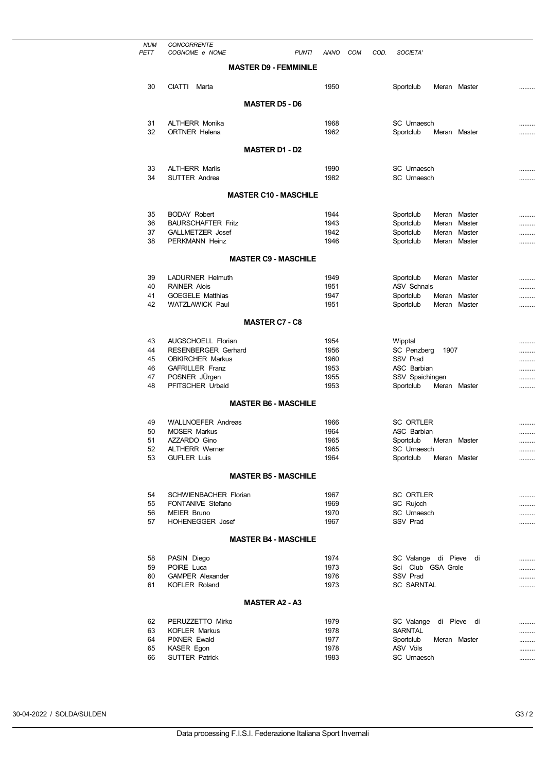| <b>NUM</b> | <b>CONCORRENTE</b>                                |              |     |      |                                                        |    |        |
|------------|---------------------------------------------------|--------------|-----|------|--------------------------------------------------------|----|--------|
| PETT       | COGNOME e NOME<br><b>PUNTI</b>                    | ANNO         | COM | COD. | SOCIETA'                                               |    |        |
|            | <b>MASTER D9 - FEMMINILE</b>                      |              |     |      |                                                        |    |        |
| 30         | <b>CIATTI</b><br>Marta                            | 1950         |     |      | Sportclub<br>Meran Master                              |    |        |
|            | <b>MASTER D5 - D6</b>                             |              |     |      |                                                        |    |        |
|            |                                                   |              |     |      |                                                        |    |        |
| 31<br>32   | <b>ALTHERR Monika</b><br><b>ORTNER Helena</b>     | 1968<br>1962 |     |      | SC Urnaesch<br>Sportclub<br>Meran Master               |    | <br>   |
|            | <b>MASTER D1 - D2</b>                             |              |     |      |                                                        |    |        |
|            |                                                   |              |     |      |                                                        |    |        |
| 33<br>34   | <b>ALTHERR Marlis</b><br><b>SUTTER Andrea</b>     | 1990<br>1982 |     |      | SC Urnaesch<br>SC Urnaesch                             |    |        |
|            |                                                   |              |     |      |                                                        |    |        |
|            | <b>MASTER C10 - MASCHILE</b>                      |              |     |      |                                                        |    |        |
| 35         | <b>BODAY Robert</b>                               | 1944         |     |      | Sportclub<br>Meran Master                              |    | .      |
| 36         | <b>BAURSCHAFTER Fritz</b>                         | 1943         |     |      | Sportclub<br>Meran Master                              |    |        |
| 37<br>38   | GALLMETZER Josef<br>PERKMANN Heinz                | 1942<br>1946 |     |      | Sportclub<br>Meran Master<br>Sportclub<br>Meran Master |    |        |
|            |                                                   |              |     |      |                                                        |    |        |
|            | <b>MASTER C9 - MASCHILE</b>                       |              |     |      |                                                        |    |        |
| 39         | <b>LADURNER Helmuth</b>                           | 1949         |     |      | Sportclub<br>Meran Master                              |    |        |
| 40         | <b>RAINER Alois</b>                               | 1951         |     |      | <b>ASV Schnals</b>                                     |    | .      |
| 41<br>42   | <b>GOEGELE Matthias</b><br><b>WATZLAWICK Paul</b> | 1947<br>1951 |     |      | Sportclub<br>Meran Master<br>Sportclub<br>Meran Master |    | .<br>. |
|            |                                                   |              |     |      |                                                        |    |        |
|            | <b>MASTER C7 - C8</b>                             |              |     |      |                                                        |    |        |
| 43         | AUGSCHOELL Florian                                | 1954         |     |      | Wipptal                                                |    |        |
| 44         | <b>RESENBERGER Gerhard</b>                        | 1956         |     |      | SC Penzberg<br>1907                                    |    |        |
| 45         | <b>OBKIRCHER Markus</b>                           | 1960         |     |      | SSV Prad                                               |    |        |
| 46         | <b>GAFRILLER Franz</b><br>POSNER JÜrgen           | 1953         |     |      | ASC Barbian                                            |    |        |
| 47<br>48   | PFITSCHER Urbald                                  | 1955<br>1953 |     |      | SSV Spaichingen<br>Sportclub<br>Meran Master           |    | <br>   |
|            |                                                   |              |     |      |                                                        |    |        |
|            | <b>MASTER B6 - MASCHILE</b>                       |              |     |      |                                                        |    |        |
| 49         | <b>WALLNOEFER Andreas</b>                         | 1966         |     |      | <b>SC ORTLER</b>                                       |    |        |
| 50         | <b>MOSER Markus</b>                               | 1964         |     |      | <b>ASC Barbian</b>                                     |    |        |
| 51<br>52   | AZZARDO Gino<br><b>ALTHERR Werner</b>             | 1965<br>1965 |     |      | Sportclub<br>Meran Master<br><b>SC</b> Urnaesch        |    | <br>   |
| 53         | <b>GUFLER Luis</b>                                | 1964         |     |      | Sportclub<br>Meran Master                              |    |        |
|            | <b>MASTER B5 - MASCHILE</b>                       |              |     |      |                                                        |    |        |
|            |                                                   |              |     |      |                                                        |    |        |
| 54         | <b>SCHWIENBACHER Florian</b>                      | 1967         |     |      | <b>SC ORTLER</b>                                       |    |        |
| 55<br>56   | FONTANIVE Stefano<br><b>MEIER Bruno</b>           | 1969<br>1970 |     |      | SC Rujoch<br>SC Urnaesch                               |    |        |
| 57         | <b>HOHENEGGER Josef</b>                           | 1967         |     |      | SSV Prad                                               |    | <br>   |
|            | <b>MASTER B4 - MASCHILE</b>                       |              |     |      |                                                        |    |        |
|            |                                                   |              |     |      |                                                        |    |        |
| 58         | PASIN Diego                                       | 1974         |     |      | SC Valange di Pieve                                    | di |        |
| 59         | POIRE Luca                                        | 1973         |     |      | Sci Club GSA Grole                                     |    |        |
| 60<br>61   | <b>GAMPER Alexander</b><br>KOFLER Roland          | 1976<br>1973 |     |      | SSV Prad<br><b>SC SARNTAL</b>                          |    | .<br>  |
|            |                                                   |              |     |      |                                                        |    |        |
|            | <b>MASTER A2 - A3</b>                             |              |     |      |                                                        |    |        |
| 62         | PERUZZETTO Mirko                                  | 1979         |     |      | SC Valange di Pieve di                                 |    |        |
| 63         | <b>KOFLER Markus</b>                              | 1978         |     |      | <b>SARNTAL</b>                                         |    |        |
| 64<br>65   | <b>PIXNER Ewald</b><br>KASER Egon                 | 1977<br>1978 |     |      | Sportclub<br>Meran Master<br>ASV Völs                  |    |        |
| 66         | <b>SUTTER Patrick</b>                             | 1983         |     |      | SC Urnaesch                                            |    | <br>   |
|            |                                                   |              |     |      |                                                        |    |        |